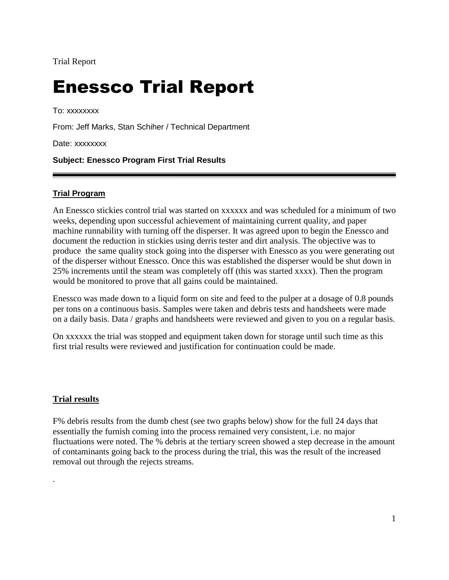# Enessco Trial Report

To: xxxxxxxx

From: Jeff Marks, Stan Schiher / Technical Department

Date: xxxxxxxx

## **Subject: Enessco Program First Trial Results**

### **Trial Program**

An Enessco stickies control trial was started on xxxxxx and was scheduled for a minimum of two weeks, depending upon successful achievement of maintaining current quality, and paper machine runnability with turning off the disperser. It was agreed upon to begin the Enessco and document the reduction in stickies using derris tester and dirt analysis. The objective was to produce the same quality stock going into the disperser with Enessco as you were generating out of the disperser without Enessco. Once this was established the disperser would be shut down in 25% increments until the steam was completely off (this was started xxxx). Then the program would be monitored to prove that all gains could be maintained.

Enessco was made down to a liquid form on site and feed to the pulper at a dosage of 0.8 pounds per tons on a continuous basis. Samples were taken and debris tests and handsheets were made on a daily basis. Data / graphs and handsheets were reviewed and given to you on a regular basis.

On xxxxxx the trial was stopped and equipment taken down for storage until such time as this first trial results were reviewed and justification for continuation could be made.

#### **Trial results**

.

F% debris results from the dumb chest (see two graphs below) show for the full 24 days that essentially the furnish coming into the process remained very consistent, i.e. no major fluctuations were noted. The % debris at the tertiary screen showed a step decrease in the amount of contaminants going back to the process during the trial, this was the result of the increased removal out through the rejects streams.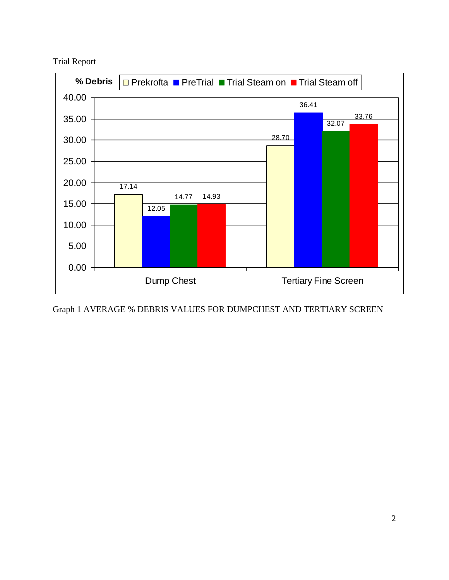Trial Report



Graph 1 AVERAGE % DEBRIS VALUES FOR DUMPCHEST AND TERTIARY SCREEN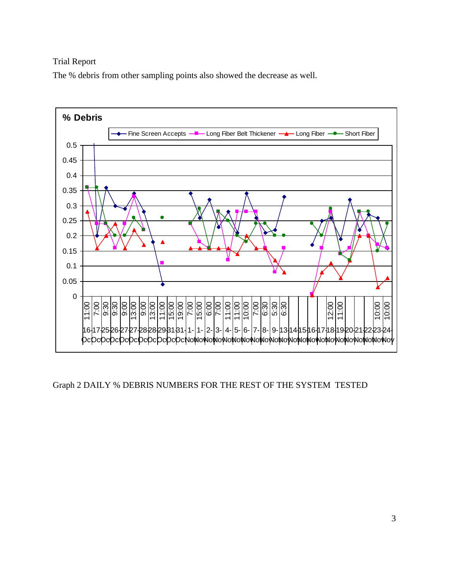The % debris from other sampling points also showed the decrease as well.



Graph 2 DAILY % DEBRIS NUMBERS FOR THE REST OF THE SYSTEM TESTED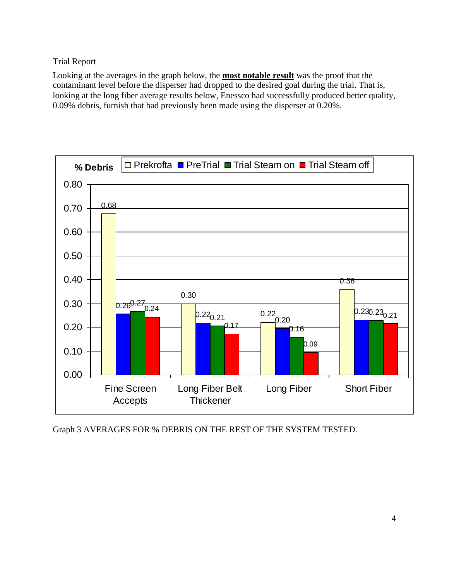Looking at the averages in the graph below, the **most notable result** was the proof that the contaminant level before the disperser had dropped to the desired goal during the trial. That is, looking at the long fiber average results below, Enessco had successfully produced better quality, 0.09% debris, furnish that had previously been made using the disperser at 0.20%.



Graph 3 AVERAGES FOR % DEBRIS ON THE REST OF THE SYSTEM TESTED.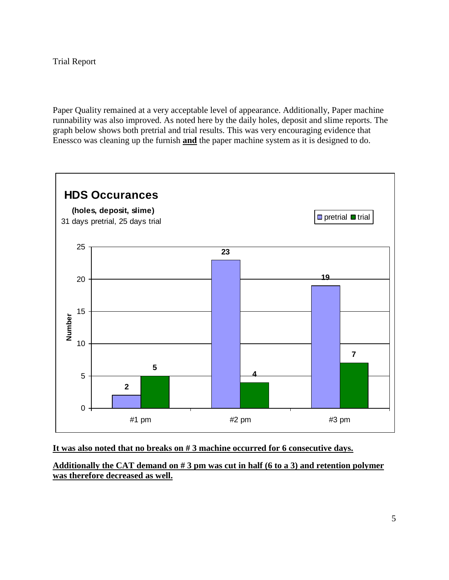Paper Quality remained at a very acceptable level of appearance. Additionally, Paper machine runnability was also improved. As noted here by the daily holes, deposit and slime reports. The graph below shows both pretrial and trial results. This was very encouraging evidence that Enessco was cleaning up the furnish **and** the paper machine system as it is designed to do.



#### **It was also noted that no breaks on # 3 machine occurred for 6 consecutive days.**

**Additionally the CAT demand on # 3 pm was cut in half (6 to a 3) and retention polymer was therefore decreased as well.**